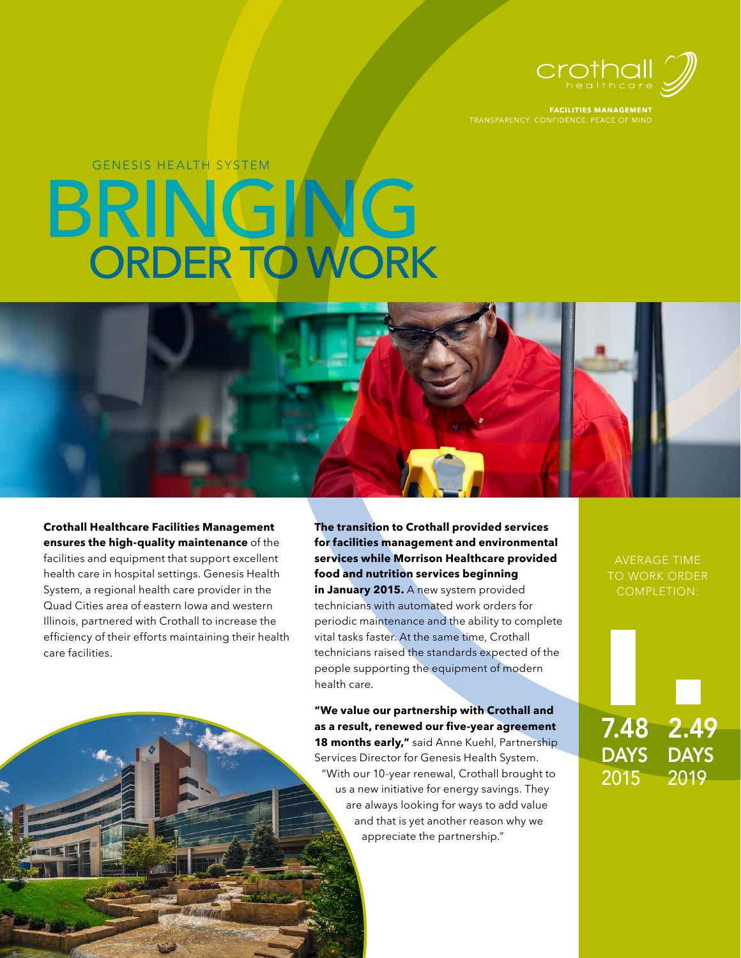

**FACILITIES MANAGEMENT** 

# BRINGING ORDER TO WORK GENESIS HEALTH SYSTEM



**The transition to Crothall provided services for facilities management and environmental services while Morrison Healthcare provided food and nutrition services beginning in January 2015.** A new system provided technicians with automated work orders for periodic maintenance and the ability to complete vital tasks faster. At the same time, Crothall technicians raised the standards expected of the people supporting the equipment of modern health care.

**"We value our partnership with Crothall and as a result, renewed our five-year agreement 18 months early,"** said Anne Kuehl, Partnership Services Director for Genesis Health System. "With our 10-year renewal, Crothall brought to us a new initiative for energy savings. They are always looking for ways to add value and that is yet another reason why we appreciate the partnership."

AVERAGE TIME TO WORK ORDER COMPLETION:

7.48 2.49 DAYS DAYS 2015 2019